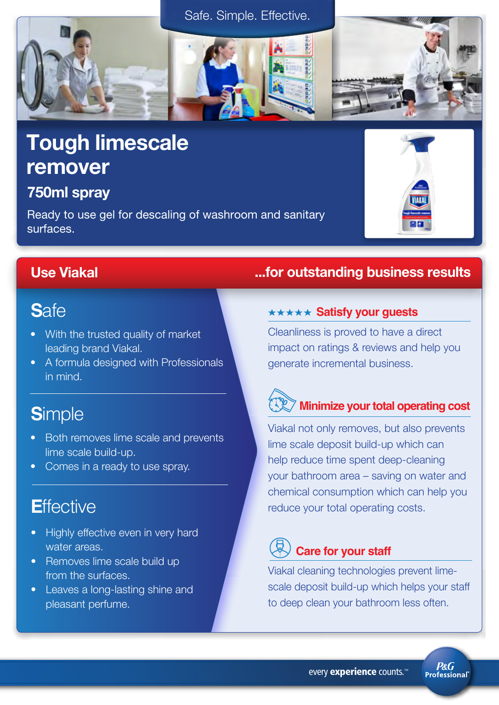### Safe. Simple. Effective.

# Tough limescale remover

## 750ml spray

Ready to use gel for descaling of washroom and sanitary surfaces.

## **S**afe

- With the trusted quality of market leading brand Viakal.
- A formula designed with Professionals in mind.

## **S**imple

- Both removes lime scale and prevents lime scale build-up.
- Comes in a ready to use spray.

## **E**ffective

- Highly effective even in very hard water areas.
- Removes lime scale build up from the surfaces.
- Leaves a long-lasting shine and pleasant perfume.

## Use Viakal ...for outstanding business results

### **\*\*\*\*\* Satisfy your guests**

Cleanliness is proved to have a direct impact on ratings & reviews and help you generate incremental business.

## **Minimize your total operating cost**

Viakal not only removes, but also prevents lime scale deposit build-up which can help reduce time spent deep-cleaning your bathroom area – saving on water and chemical consumption which can help you reduce your total operating costs.

## **Care for your staff**

Viakal cleaning technologies prevent limescale deposit build-up which helps your staff to deep clean your bathroom less often.

**P&G Professional**